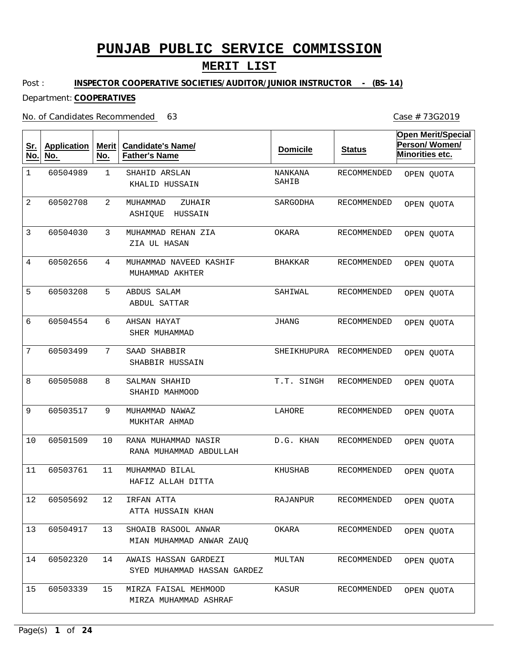### **MERIT LIST**

Post : **INSPECTOR COOPERATIVE SOCIETIES/AUDITOR/JUNIOR INSTRUCTOR - (BS-14)**

#### Department: **COOPERATIVES**

#### No. of Candidates Recommended

1 2 3 4 5 6 7 8 9 10 11 12 13 14 15 SHAHID ARSLAN MUHAMMAD ZUHAIR MUHAMMAD REHAN ZIA MUHAMMAD NAVEED KASHIF ABDUS SALAM AHSAN HAYAT SAAD SHABBIR SALMAN SHAHID MUHAMMAD NAWAZ RANA MUHAMMAD NASIR MUHAMMAD BILAL IRFAN ATTA SHOAIB RASOOL ANWAR AWAIS HASSAN GARDEZI MIRZA FAISAL MEHMOOD KHALID HUSSAIN ASHIQUE HUSSAIN ZIA UL HASAN MUHAMMAD AKHTER ABDUL SATTAR SHER MUHAMMAD SHABBIR HUSSAIN SHAHID MAHMOOD MUKHTAR AHMAD RANA MUHAMMAD ABDULLAH HAFIZ ALLAH DITTA ATTA HUSSAIN KHAN MIAN MUHAMMAD ANWAR ZAUQ SYED MUHAMMAD HASSAN GARDEZ MIRZA MUHAMMAD ASHRAF 1 2 3 4 5 6 7 8 9 10 11 12 13 14 15 60504989 60502708 60504030 60502656 60503208 60504554 60503499 60505088 60503517 60501509 60503761 60505692 60504917 60502320 60503339 NANKANA SAHIB SARGODHA OKARA BHAKKAR SAHIWAL JHANG SHEIKHUPURA RECOMMENDED T.T. SINGH LAHORE D.G. KHAN KHUSHAB RAJANPUR OKARA MULTAN KASUR RECOMMENDED RECOMMENDED RECOMMENDED RECOMMENDED RECOMMENDED RECOMMENDED RECOMMENDED RECOMMENDED RECOMMENDED RECOMMENDED RECOMMENDED RECOMMENDED RECOMMENDED RECOMMENDED **Sr. No. Application No. Merit No. Candidate's Name/ Father's Name Domicile Status Open Merit/Special Person/ Women/ Minorities etc.** OPEN QUOTA OPEN QUOTA OPEN QUOTA OPEN QUOTA OPEN QUOTA OPEN QUOTA OPEN QUOTA OPEN QUOTA OPEN QUOTA OPEN QUOTA OPEN QUOTA OPEN QUOTA OPEN QUOTA OPEN QUOTA OPEN QUOTA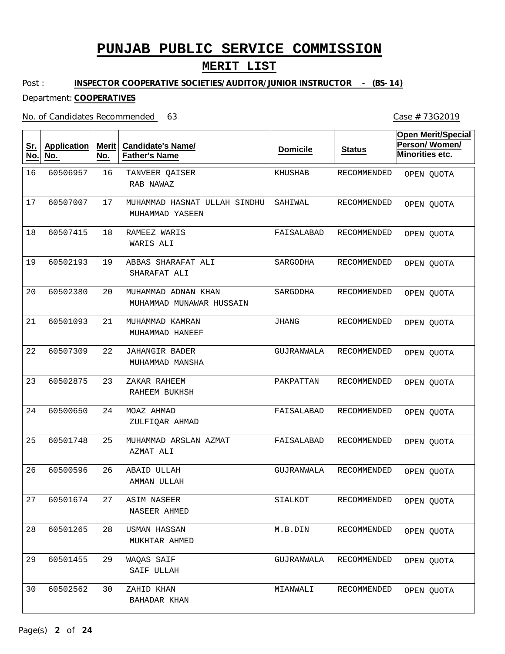## **MERIT LIST**

Case # 73G2019

Post : **INSPECTOR COOPERATIVE SOCIETIES/AUDITOR/JUNIOR INSTRUCTOR - (BS-14)**

#### Department: **COOPERATIVES**

#### No. of Candidates Recommended

| <u>Sr.</u><br>No. | <b>Application</b><br>No. | <b>Merit</b><br>No. | <b>Candidate's Name/</b><br><b>Father's Name</b> | <b>Domicile</b> | <b>Status</b> | <b>Open Merit/Special</b><br>Person/Women/<br>Minorities etc. |
|-------------------|---------------------------|---------------------|--------------------------------------------------|-----------------|---------------|---------------------------------------------------------------|
| 16                | 60506957                  | 16                  | TANVEER QAISER<br>RAB NAWAZ                      | KHUSHAB         | RECOMMENDED   | OPEN QUOTA                                                    |
| 17                | 60507007                  | 17                  | MUHAMMAD HASNAT ULLAH SINDHU<br>MUHAMMAD YASEEN  | SAHIWAL         | RECOMMENDED   | OPEN QUOTA                                                    |
| 18                | 60507415                  | 18                  | RAMEEZ WARIS<br>WARIS ALI                        | FAISALABAD      | RECOMMENDED   | OPEN QUOTA                                                    |
| 19                | 60502193                  | 19                  | ABBAS SHARAFAT ALI<br>SHARAFAT ALI               | SARGODHA        | RECOMMENDED   | OPEN QUOTA                                                    |
| 20                | 60502380                  | 20                  | MUHAMMAD ADNAN KHAN<br>MUHAMMAD MUNAWAR HUSSAIN  | SARGODHA        | RECOMMENDED   | OPEN QUOTA                                                    |
| 21                | 60501093                  | 21                  | MUHAMMAD KAMRAN<br>MUHAMMAD HANEEF               | <b>JHANG</b>    | RECOMMENDED   | OPEN QUOTA                                                    |
| 22                | 60507309                  | 22                  | JAHANGIR BADER<br>MUHAMMAD MANSHA                | GUJRANWALA      | RECOMMENDED   | OPEN QUOTA                                                    |
| 23                | 60502875                  | 23                  | ZAKAR RAHEEM<br>RAHEEM BUKHSH                    | PAKPATTAN       | RECOMMENDED   | OPEN QUOTA                                                    |
| 24                | 60500650                  | 24                  | MOAZ AHMAD<br>ZULFIQAR AHMAD                     | FAISALABAD      | RECOMMENDED   | OPEN QUOTA                                                    |
| 25                | 60501748                  | 25                  | MUHAMMAD ARSLAN AZMAT<br>AZMAT ALI               | FAISALABAD      | RECOMMENDED   | OPEN QUOTA                                                    |
| 26                | 60500596                  | 26                  | ABAID ULLAH<br>AMMAN ULLAH                       | GUJRANWALA      | RECOMMENDED   | OPEN QUOTA                                                    |
| 27                | 60501674                  | 27                  | ASIM NASEER<br>NASEER AHMED                      | SIALKOT         | RECOMMENDED   | OPEN QUOTA                                                    |
| 28                | 60501265                  | 28                  | <b>USMAN HASSAN</b><br>MUKHTAR AHMED             | M.B.DIN         | RECOMMENDED   | OPEN QUOTA                                                    |
| 29                | 60501455                  | 29                  | WAQAS SAIF<br>SAIF ULLAH                         | GUJRANWALA      | RECOMMENDED   | OPEN QUOTA                                                    |
| 30                | 60502562                  | 30                  | ZAHID KHAN<br>BAHADAR KHAN                       | MIANWALI        | RECOMMENDED   | OPEN QUOTA                                                    |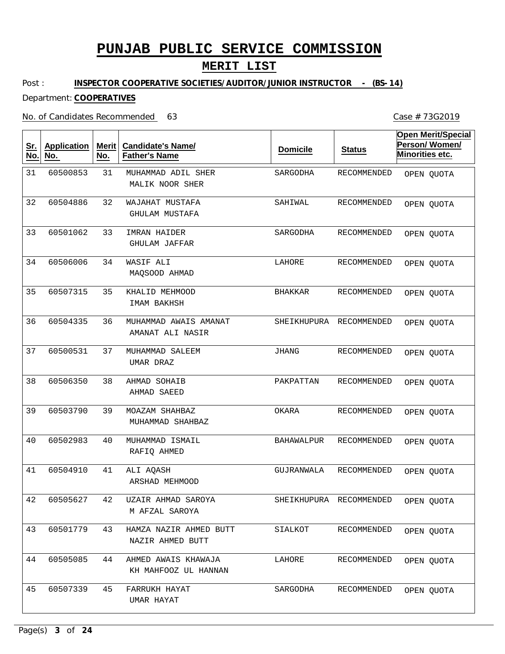## **MERIT LIST**

Post : **INSPECTOR COOPERATIVE SOCIETIES/AUDITOR/JUNIOR INSTRUCTOR - (BS-14)**

#### Department: **COOPERATIVES**

#### No. of Candidates Recommended

| <u>Sr.</u><br>No. | <b>Application</b><br>No. | <b>Merit</b><br>No. | <b>Candidate's Name/</b><br><b>Father's Name</b> | <b>Domicile</b>   | <b>Status</b>           | <b>Open Merit/Special</b><br>Person/Women/<br>Minorities etc. |
|-------------------|---------------------------|---------------------|--------------------------------------------------|-------------------|-------------------------|---------------------------------------------------------------|
| 31                | 60500853                  | 31                  | MUHAMMAD ADIL SHER<br>MALIK NOOR SHER            | SARGODHA          | RECOMMENDED             | OPEN QUOTA                                                    |
| 32                | 60504886                  | 32                  | WAJAHAT MUSTAFA<br><b>GHULAM MUSTAFA</b>         | SAHIWAL           | RECOMMENDED             | OPEN QUOTA                                                    |
| 33                | 60501062                  | 33                  | IMRAN HAIDER<br><b>GHULAM JAFFAR</b>             | SARGODHA          | RECOMMENDED             | OPEN QUOTA                                                    |
| 34                | 60506006                  | 34                  | WASIF ALI<br>MAQSOOD AHMAD                       | LAHORE            | RECOMMENDED             | OPEN QUOTA                                                    |
| 35                | 60507315                  | 35                  | KHALID MEHMOOD<br>IMAM BAKHSH                    | <b>BHAKKAR</b>    | RECOMMENDED             | OPEN QUOTA                                                    |
| 36                | 60504335                  | 36                  | MUHAMMAD AWAIS AMANAT<br>AMANAT ALI NASIR        | SHEIKHUPURA       | <b>RECOMMENDED</b>      | OPEN QUOTA                                                    |
| 37                | 60500531                  | 37                  | MUHAMMAD SALEEM<br>UMAR DRAZ                     | <b>JHANG</b>      | RECOMMENDED             | OPEN QUOTA                                                    |
| 38                | 60506350                  | 38                  | AHMAD SOHAIB<br>AHMAD SAEED                      | PAKPATTAN         | RECOMMENDED             | OPEN QUOTA                                                    |
| 39                | 60503790                  | 39                  | MOAZAM SHAHBAZ<br>MUHAMMAD SHAHBAZ               | OKARA             | RECOMMENDED             | OPEN QUOTA                                                    |
| 40                | 60502983                  | 40                  | MUHAMMAD ISMAIL<br>RAFIO AHMED                   | <b>BAHAWALPUR</b> | RECOMMENDED             | OPEN QUOTA                                                    |
| 41                | 60504910                  | 41                  | ALI AQASH<br>ARSHAD MEHMOOD                      | GUJRANWALA        | RECOMMENDED             | OPEN QUOTA                                                    |
| 42                | 60505627                  | 42                  | UZAIR AHMAD SAROYA<br>M AFZAL SAROYA             |                   | SHEIKHUPURA RECOMMENDED | OPEN QUOTA                                                    |
| 43                | 60501779                  | 43                  | HAMZA NAZIR AHMED BUTT<br>NAZIR AHMED BUTT       | SIALKOT           | RECOMMENDED             | OPEN QUOTA                                                    |
| 44                | 60505085                  | 44                  | AHMED AWAIS KHAWAJA<br>KH MAHFOOZ UL HANNAN      | LAHORE            | RECOMMENDED             | OPEN QUOTA                                                    |
| 45                | 60507339                  | 45                  | FARRUKH HAYAT<br>UMAR HAYAT                      | SARGODHA          | RECOMMENDED             | OPEN QUOTA                                                    |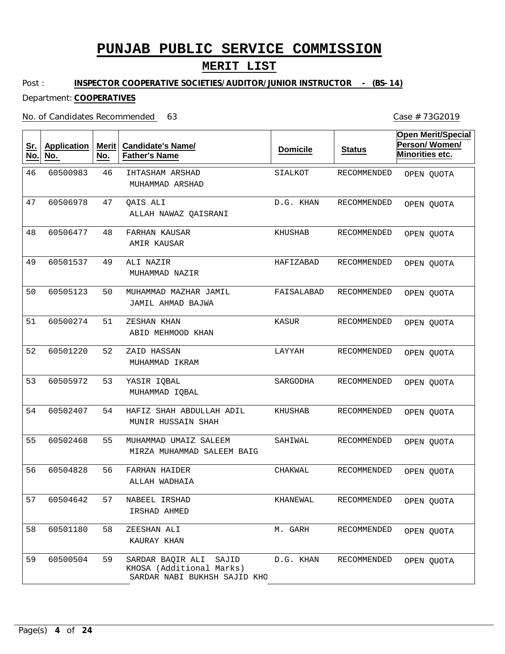### **MERIT LIST**

Post : **INSPECTOR COOPERATIVE SOCIETIES/AUDITOR/JUNIOR INSTRUCTOR - (BS-14)**

#### Department: **COOPERATIVES**

#### No. of Candidates Recommended

46 47 48 49 50 51 52 53 54 55 56 57 58 59 IHTASHAM ARSHAD QAIS ALI FARHAN KAUSAR ALI NAZIR MUHAMMAD MAZHAR JAMIL ZESHAN KHAN ZAID HASSAN YASIR IQBAL HAFIZ SHAH ABDULLAH ADIL MUHAMMAD UMAIZ SALEEM FARHAN HAIDER NABEEL IRSHAD ZEESHAN ALI SARDAR BAQIR ALI SAJID KHOSA (Additional Marks) MUHAMMAD ARSHAD ALLAH NAWAZ QAISRANI AMIR KAUSAR MUHAMMAD NAZIR JAMIL AHMAD BAJWA ABID MEHMOOD KHAN MUHAMMAD IKRAM MUHAMMAD IQBAL MUNIR HUSSAIN SHAH MIRZA MUHAMMAD SALEEM BAIG ALLAH WADHAIA IRSHAD AHMED KAURAY KHAN SARDAR NABI BUKHSH SAJID KHO 46 47 48 49 50 51 52 60501220 53 54 55 56 57 58 59 60500983 60506978 60506477 60501537 60505123 60500274 60505972 60502407 60502468 60504828 60504642 60501180 60500504 SIALKOT D.G. KHAN KHUSHAB HAFIZABAD FAISALABAD KASUR LAYYAH SARGODHA KHUSHAB SAHIWAL CHAKWAL KHANEWAL M. GARH D.G. KHAN RECOMMENDED RECOMMENDED RECOMMENDED RECOMMENDED RECOMMENDED RECOMMENDED RECOMMENDED RECOMMENDED RECOMMENDED RECOMMENDED RECOMMENDED RECOMMENDED RECOMMENDED RECOMMENDED **Sr. No. Application No. Merit No. Candidate's Name/ Father's Name Domicile Status Open Merit/Special Person/ Women/ Minorities etc.** OPEN QUOTA OPEN QUOTA OPEN QUOTA OPEN QUOTA OPEN QUOTA OPEN QUOTA OPEN QUOTA OPEN QUOTA OPEN QUOTA OPEN QUOTA OPEN QUOTA OPEN QUOTA OPEN QUOTA OPEN QUOTA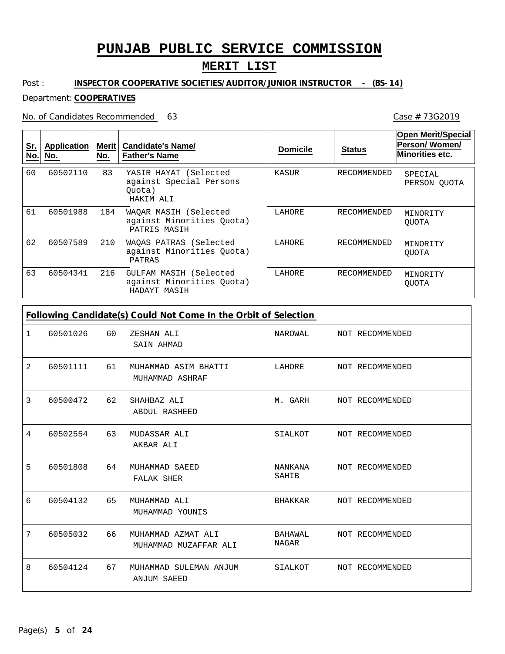## **MERIT LIST**

#### Post : **INSPECTOR COOPERATIVE SOCIETIES/AUDITOR/JUNIOR INSTRUCTOR - (BS-14)**

#### Department: **COOPERATIVES**

No. of Candidates Recommended

| <u>Sr.</u><br>No. | Application<br>No. | Merit <b>I</b><br>No. | <b>Candidate's Name/</b><br><b>Father's Name</b>                        | <b>Domicile</b> | <b>Status</b>      | <b>Open Merit/Special</b><br>Person/Women/<br>Minorities etc. |
|-------------------|--------------------|-----------------------|-------------------------------------------------------------------------|-----------------|--------------------|---------------------------------------------------------------|
| 60                | 60502110           | 83                    | YASIR HAYAT (Selected<br>against Special Persons<br>Ouota)<br>HAKIM ALI | KASUR           | RECOMMENDED        | SPECIAL<br>PERSON QUOTA                                       |
| 61                | 60501988           | 184                   | WAQAR MASIH (Selected<br>against Minorities Quota)<br>PATRIS MASIH      | LAHORE          | RECOMMENDED        | MINORITY<br><b>OUOTA</b>                                      |
| 62                | 60507589           | 210                   | WAOAS PATRAS (Selected<br>against Minorities Ouota)<br>PATRAS           | LAHORE          | RECOMMENDED        | MINORITY<br><b>OUOTA</b>                                      |
| 63                | 60504341           | 216                   | GULFAM MASIH (Selected<br>against Minorities Ouota)<br>HADAYT MASIH     | LAHORE          | <b>RECOMMENDED</b> | MINORITY<br><b>OUOTA</b>                                      |

| 1 | 60501026 | 60 | ZESHAN ALI<br>SAIN AHMAD                     | NAROWAL NOT RECOMMENDED |                 |
|---|----------|----|----------------------------------------------|-------------------------|-----------------|
| 2 | 60501111 | 61 | MUHAMMAD ASIM BHATTI<br>MUHAMMAD ASHRAF      | LAHORE NOT RECOMMENDED  |                 |
| 3 | 60500472 | 62 | SHAHBAZ ALI<br><b>ABDUL RASHEED</b>          | M. GARH                 | NOT RECOMMENDED |
| 4 | 60502554 | 63 | MUDASSAR ALI<br>AKBAR ALI                    | SIALKOT                 | NOT RECOMMENDED |
| 5 | 60501808 | 64 | MUHAMMAD SAEED<br>FALAK SHER                 | NANKANA<br>SAHIB        | NOT RECOMMENDED |
| 6 | 60504132 | 65 | MUHAMMAD ALI<br>MUHAMMAD YOUNIS              | BHAKKAR                 | NOT RECOMMENDED |
| 7 | 60505032 | 66 | MUHAMMAD AZMAT ALI<br>MUHAMMAD MUZAFFAR ALI  | BAHAWAL<br>NAGAR        | NOT RECOMMENDED |
| 8 | 60504124 | 67 | MUHAMMAD SULEMAN ANJUM<br><b>ANJUM SAEED</b> | SIALKOT NOT RECOMMENDED |                 |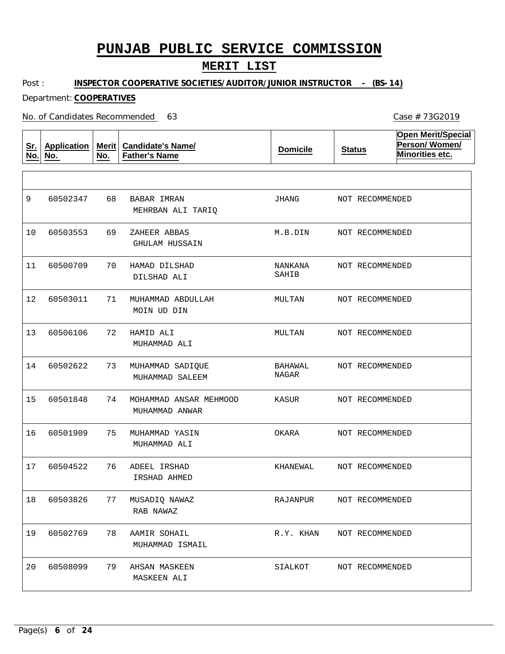### **MERIT LIST**

Post : **INSPECTOR COOPERATIVE SOCIETIES/AUDITOR/JUNIOR INSTRUCTOR - (BS-14)**

Department: **COOPERATIVES**

No. of Candidates Recommended

**Sr. No. Application No. Merit No. Candidate's Name/ Father's Name Domicile Status Open Merit/Special Person/ Women/ Minorities etc.** 68 69 70 71 72 73 74 75 76 77 78 79 BABAR IMRAN ZAHEER ABBAS HAMAD DILSHAD MUHAMMAD ABDULLAH HAMID ALI MUHAMMAD SADIQUE MOHAMMAD ANSAR MEHMOOD MUHAMMAD YASIN ADEEL IRSHAD MUSADIQ NAWAZ AAMIR SOHAIL AHSAN MASKEEN MEHRBAN ALI TARIQ GHULAM HUSSAIN DILSHAD ALI MOIN UD DIN MUHAMMAD ALI MUHAMMAD SALEEM MUHAMMAD ANWAR MUHAMMAD ALI IRSHAD AHMED RAB NAWAZ MUHAMMAD ISMAIL MASKEEN ALI 9 10 11 12 13 14 15 16 17 18 19 20 60502347 60503553 60500709 60503011 60506106 60502622 60501848 60501909 60504522 60503826 60502769 60508099 JHANG M.B.DIN NANKANA SAHIB MULTAN MULTAN BAHAWAL NAGAR KASUR OKARA KHANEWAL RAJANPUR R.Y. KHAN SIALKOT NOT RECOMMENDED NOT RECOMMENDED NOT RECOMMENDED NOT RECOMMENDED NOT RECOMMENDED NOT RECOMMENDED NOT RECOMMENDED NOT RECOMMENDED NOT RECOMMENDED NOT RECOMMENDED NOT RECOMMENDED NOT RECOMMENDED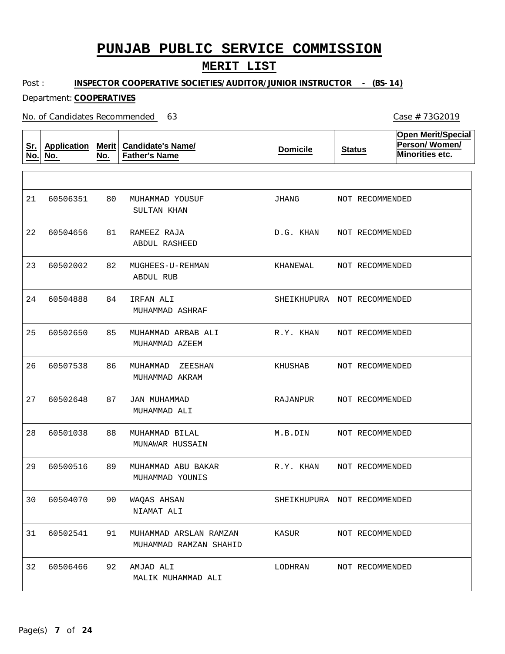### **MERIT LIST**

Post : **INSPECTOR COOPERATIVE SOCIETIES/AUDITOR/JUNIOR INSTRUCTOR - (BS-14)**

Department: **COOPERATIVES**

No. of Candidates Recommended

**Sr. No. Application No. Merit No. Candidate's Name/ Father's Name Domicile Status Open Merit/Special Person/ Women/ Minorities etc.** 80 81 82 84 85 86 87 88 89 90 91 92 MUHAMMAD YOUSUF RAMEEZ RAJA MUGHEES-U-REHMAN IRFAN ALI MUHAMMAD ARBAB ALI MUHAMMAD ZEESHAN JAN MUHAMMAD MUHAMMAD BILAL MUHAMMAD ABU BAKAR WAQAS AHSAN MUHAMMAD ARSLAN RAMZAN AMJAD ALI SULTAN KHAN ABDUL RASHEED ABDUL RUB MUHAMMAD ASHRAF MUHAMMAD AZEEM MUHAMMAD AKRAM MUHAMMAD ALI MUNAWAR HUSSAIN MUHAMMAD YOUNIS NIAMAT ALI MUHAMMAD RAMZAN SHAHID MALIK MUHAMMAD ALI 21 22 60504656 23 24 25 26 27 28 29 30 31 32 60506351 60502002 60504888 60502650 60507538 60502648 60501038 60500516 60504070 60502541 60506466 JHANG D.G. KHAN KHANEWAL SHEIKHUPURA NOT RECOMMENDED R.Y. KHAN KHUSHAB RAJANPUR M.B.DIN R.Y. KHAN SHEIKHUPURA NOT RECOMMENDED KASUR LODHRAN NOT RECOMMENDED NOT RECOMMENDED NOT RECOMMENDED NOT RECOMMENDED NOT RECOMMENDED NOT RECOMMENDED NOT RECOMMENDED NOT RECOMMENDED NOT RECOMMENDED NOT RECOMMENDED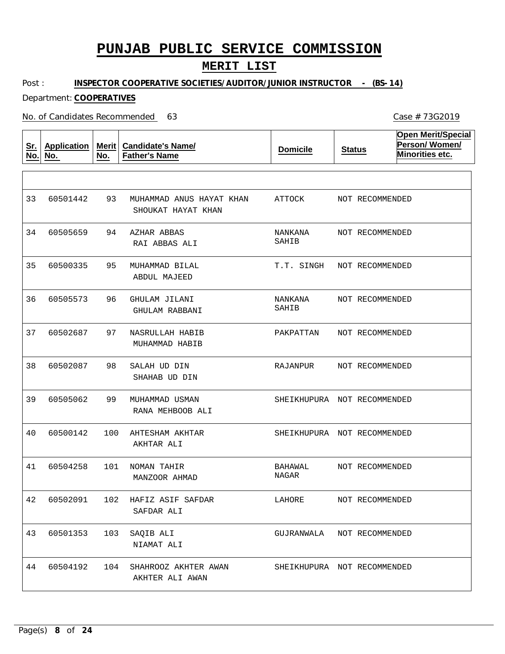### **MERIT LIST**

Post : **INSPECTOR COOPERATIVE SOCIETIES/AUDITOR/JUNIOR INSTRUCTOR - (BS-14)**

Department: **COOPERATIVES**

No. of Candidates Recommended

**Sr. No. Application No. Merit No. Candidate's Name/ Father's Name Domicile Status Open Merit/Special Person/ Women/ Minorities etc.** 93 94 95 96 97 98 99 100 AHTESHAM AKHTAR 101 NOMAN TAHIR 102 HAFIZ ASIF SAFDAR 103 104 MUHAMMAD ANUS HAYAT KHAN AZHAR ABBAS MUHAMMAD BILAL GHULAM JILANI NASRULLAH HABIB SALAH UD DIN MUHAMMAD USMAN SAQIB ALI SHAHROOZ AKHTER AWAN SHOUKAT HAYAT KHAN RAI ABBAS ALI ABDUL MAJEED GHULAM RABBANI MUHAMMAD HABIB SHAHAB UD DIN RANA MEHBOOB ALI AKHTAR ALI MANZOOR AHMAD SAFDAR ALI NIAMAT ALI AKHTER ALI AWAN 33 34 35 36 37 38 39 40 41 42 43 44 60501442 60505659 60500335 60505573 60502687 60502087 60505062 60500142 60504258 60502091 60501353 60504192 ATTOCK NANKANA SAHIB T.T. SINGH NANKANA SAHIB PAKPATTAN RAJANPUR SHEIKHUPURA NOT RECOMMENDED SHEIKHUPURA NOT RECOMMENDED BAHAWAL NAGAR LAHORE GUJRANWALA SHEIKHUPURA NOT RECOMMENDEDNOT RECOMMENDED NOT RECOMMENDED NOT RECOMMENDED NOT RECOMMENDED NOT RECOMMENDED NOT RECOMMENDED NOT RECOMMENDED NOT RECOMMENDED NOT RECOMMENDED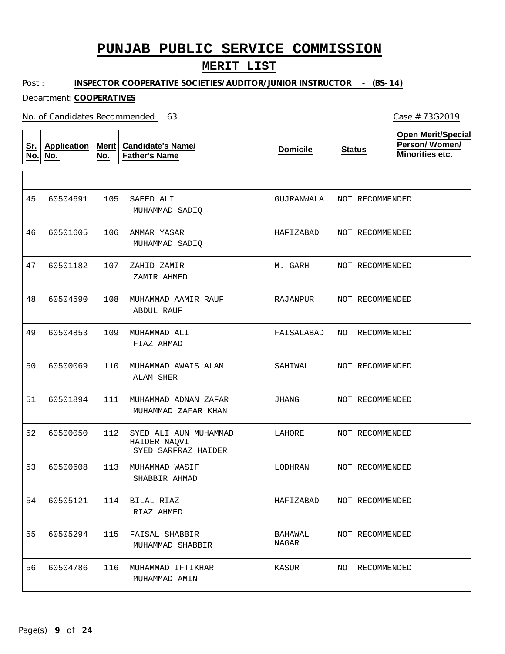### **MERIT LIST**

Post : **INSPECTOR COOPERATIVE SOCIETIES/AUDITOR/JUNIOR INSTRUCTOR - (BS-14)**

Department: **COOPERATIVES**

No. of Candidates Recommended

**Sr. No. Application No. Merit No. Candidate's Name/ Father's Name Domicile Status Open Merit/Special Person/ Women/ Minorities etc.** 105 106 AMMAR YASAR 107 108 MUHAMMAD AAMIR RAUF 109 MUHAMMAD ALI 110 MUHAMMAD AWAIS ALAM 111 MUHAMMAD ADNAN ZAFAR 112 113 MUHAMMAD WASIF 114 BILAL RIAZ 115 FAISAL SHABBIR 116 MUHAMMAD IFTIKHAR SAEED ALI ZAHID ZAMIR SYED ALI AUN MUHAMMAD HAIDER NAQVI MUHAMMAD SADIQ MUHAMMAD SADIQ ZAMIR AHMED ABDUL RAUF FIAZ AHMAD ALAM SHER MUHAMMAD ZAFAR KHAN SYED SARFRAZ HAIDER SHABBIR AHMAD RIAZ AHMED MUHAMMAD SHABBIR MUHAMMAD AMIN 45 46 47 48 49 50 51 52 53 54 55 56 60504691 60501605 60501182 60504590 60504853 60500069 60501894 60500050 60500608 60505121 60505294 60504786 GUJRANWALA HAFIZABAD M. GARH RAJANPUR FAISALABAD NOT RECOMMENDED SAHIWAL JHANG LAHORE LODHRAN HAFIZABAD BAHAWAL NAGAR KASUR NOT RECOMMENDED NOT RECOMMENDED NOT RECOMMENDED NOT RECOMMENDED NOT RECOMMENDED NOT RECOMMENDED NOT RECOMMENDED NOT RECOMMENDED NOT RECOMMENDED NOT RECOMMENDED NOT RECOMMENDED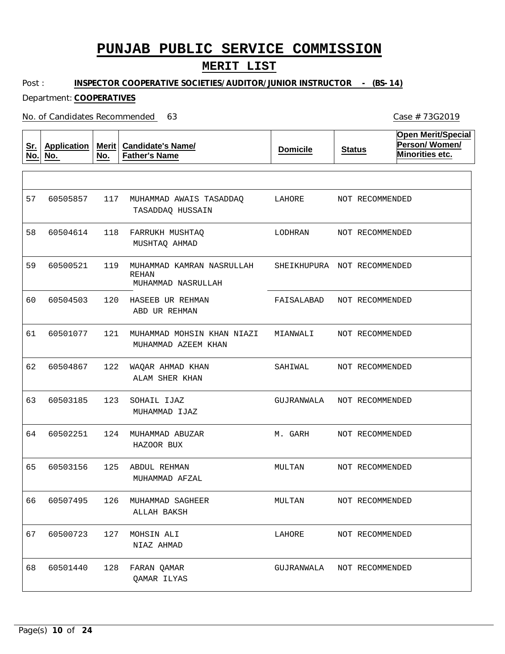### **MERIT LIST**

Post : **INSPECTOR COOPERATIVE SOCIETIES/AUDITOR/JUNIOR INSTRUCTOR - (BS-14)**

Department: **COOPERATIVES**

No. of Candidates Recommended

**Sr. No. Application No. Merit No. Candidate's Name/ Father's Name Domicile Status Open Merit/Special Person/ Women/ Minorities etc.** 117 MUHAMMAD AWAIS TASADDAQ 118 FARRUKH MUSHTAQ 119 MUHAMMAD KAMRAN NASRULLAH 120 HASEEB UR REHMAN 121 MUHAMMAD MOHSIN KHAN NIAZI MIANWALI 122 WAQAR AHMAD KHAN 123 124 MUHAMMAD ABUZAR 125 ABDUL REHMAN 126 MUHAMMAD SAGHEER 127 MOHSIN ALI 128 FARAN QAMAR REHAN SOHAIL IJAZ TASADDAQ HUSSAIN MUSHTAQ AHMAD MUHAMMAD NASRULLAH ABD UR REHMAN MUHAMMAD AZEEM KHAN ALAM SHER KHAN MUHAMMAD IJAZ HAZOOR BUX MUHAMMAD AFZAL ALLAH BAKSH NIAZ AHMAD QAMAR ILYAS 57 58 60504614 59 60 61 62 63 64 65 66 67 68 60505857 60500521 60504503 60501077 60504867 60503185 60502251 60503156 60507495 60500723 60501440 LAHORE LODHRAN SHEIKHUPURA NOT RECOMMENDED FAISALABAD SAHTWAL. GUJRANWALA M. GARH MULTAN MULTAN LAHORE GUJRANWALA NOT RECOMMENDEDNOT RECOMMENDED NOT RECOMMENDED NOT RECOMMENDED NOT RECOMMENDED NOT RECOMMENDED NOT RECOMMENDED NOT RECOMMENDED NOT RECOMMENDED NOT RECOMMENDED NOT RECOMMENDED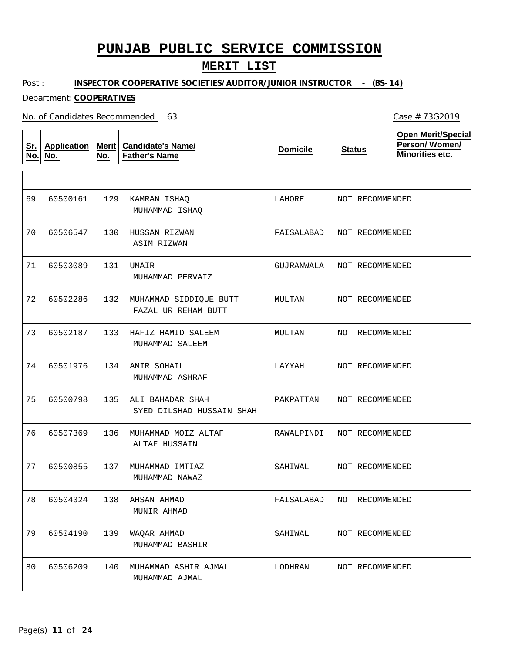### **MERIT LIST**

Post : **INSPECTOR COOPERATIVE SOCIETIES/AUDITOR/JUNIOR INSTRUCTOR - (BS-14)**

#### Department: **COOPERATIVES**

No. of Candidates Recommended

**Sr. No. Application No. Merit No. Candidate's Name/ Father's Name Domicile Status Open Merit/Special Person/ Women/ Minorities etc.** 129 KAMRAN ISHAQ 130 HUSSAN RIZWAN 131 UMAIR 132 MUHAMMAD SIDDIQUE BUTT 133 HAFIZ HAMID SALEEM 134 AMIR SOHAIL 135 ALI BAHADAR SHAH 136 MUHAMMAD MOIZ ALTAF 137 MUHAMMAD IMTIAZ 138 AHSAN AHMAD 139 140 MUHAMMAD ASHIR AJMAL WAQAR AHMAD MUHAMMAD ISHAQ ASIM RIZWAN MUHAMMAD PERVAIZ FAZAL UR REHAM BUTT MUHAMMAD SALEEM MUHAMMAD ASHRAF SYED DILSHAD HUSSAIN SHAH ALTAF HUSSAIN MUHAMMAD NAWAZ MUNIR AHMAD MUHAMMAD BASHIR MUHAMMAD AJMAL 69 70 60506547 71 72 73 74 75 76 77 78 79 80 60500161 60503089 60502286 60502187 60501976 60500798 60507369 60500855 60504324 60504190 60506209 LAHORE FAISALABAD GUJRANWALA MULTAN MULTAN LAYYAH PAKPATTAN RAWALPINDI SAHIWAL FAISALABAD SAHIWAL LODHRAN NOT RECOMMENDED NOT RECOMMENDED NOT RECOMMENDED NOT RECOMMENDED NOT RECOMMENDED NOT RECOMMENDED NOT RECOMMENDED NOT RECOMMENDED NOT RECOMMENDED NOT RECOMMENDED NOT RECOMMENDED NOT RECOMMENDED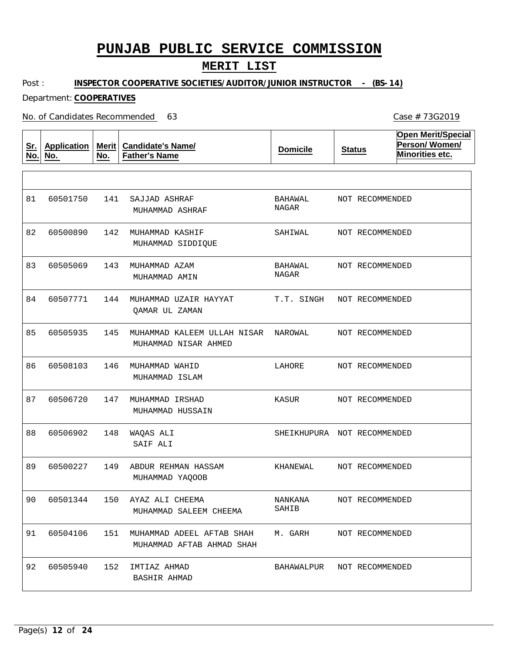### **MERIT LIST**

Post : **INSPECTOR COOPERATIVE SOCIETIES/AUDITOR/JUNIOR INSTRUCTOR - (BS-14)**

Department: **COOPERATIVES**

No. of Candidates Recommended

**Sr. No. Application No. Merit No. Candidate's Name/ Father's Name Domicile Status Open Merit/Special Person/ Women/ Minorities etc.** 141 142 MUHAMMAD KASHIF 143 MUHAMMAD AZAM 144 MUHAMMAD UZAIR HAYYAT 145 MUHAMMAD KALEEM ULLAH NISAR NAROWAL 146 MUHAMMAD WAHID 147 MUHAMMAD IRSHAD 148 149 150 AYAZ ALI CHEEMA 151 MUHAMMAD ADEEL AFTAB SHAH 152 SAJJAD ASHRAF WAQAS ALI ABDUR REHMAN HASSAM IMTIAZ AHMAD MUHAMMAD ASHRAF MUHAMMAD SIDDIQUE MUHAMMAD AMIN QAMAR UL ZAMAN MUHAMMAD NISAR AHMED MUHAMMAD ISLAM MUHAMMAD HUSSAIN SAIF ALI MUHAMMAD YAQOOB MUHAMMAD SALEEM CHEEMA MUHAMMAD AFTAB AHMAD SHAH BASHIR AHMAD 81 82 83 84 85 86 87 88 89  $9<sub>0</sub>$ 91 92 60501750 60500890 60505069 60507771 60505935 60508103 60506720 60506902 60500227 60501344 60504106 60505940 BAHAWAL NAGAR SAHIWAL BAHAWAL NAGAR T.T. SINGH LAHORE KASUR SHEIKHUPURA NOT RECOMMENDED KHANEWAL NANKANA SAHIB M. GARH BAHAWALPUR NOT RECOMMENDED NOT RECOMMENDED NOT RECOMMENDED NOT RECOMMENDED NOT RECOMMENDED NOT RECOMMENDED NOT RECOMMENDED NOT RECOMMENDED NOT RECOMMENDED NOT RECOMMENDED NOT RECOMMENDED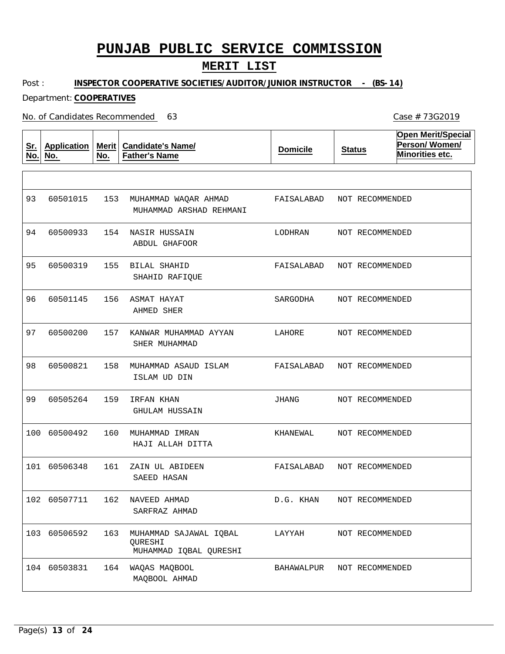### **MERIT LIST**

Post : **INSPECTOR COOPERATIVE SOCIETIES/AUDITOR/JUNIOR INSTRUCTOR - (BS-14)**

Department: **COOPERATIVES**

No. of Candidates Recommended

**Sr. No. Application No. Merit No. Candidate's Name/ Father's Name Domicile Status Open Merit/Special Person/ Women/ Minorities etc.** 153 MUHAMMAD WAQAR AHMAD 154 NASIR HUSSAIN 155 BILAL SHAHID 156 ASMAT HAYAT 157 KANWAR MUHAMMAD AYYAN 158 MUHAMMAD ASAUD ISLAM 159 IRFAN KHAN 160 MUHAMMAD IMRAN 161 ZAIN UL ABIDEEN 162 NAVEED AHMAD 163 MUHAMMAD SAJAWAL IQBAL 164 WAQAS MAQBOOL QURESHI MUHAMMAD ARSHAD REHMANI ABDUL GHAFOOR SHAHID RAFIQUE AHMED SHER SHER MUHAMMAD ISLAM UD DIN GHULAM HUSSAIN HAJI ALLAH DITTA SAEED HASAN SARFRAZ AHMAD MUHAMMAD IQBAL QURESHI MAQBOOL AHMAD 93 94 95 96 97 98 99 100 60500492 101 60506348 102 60507711 103 60506592 104 60503831 60501015 60500933 60500319 60501145 60500200 60500821 60505264 FAISALABAD LODHRAN FAISALABAD SARGODHA LAHORE FAISALABAD JHANG KHANEWAL FAISALABAD D.G. KHAN LAYYAH BAHAWALPUR NOT RECOMMENDEDNOT RECOMMENDED NOT RECOMMENDED NOT RECOMMENDED NOT RECOMMENDED NOT RECOMMENDED NOT RECOMMENDED NOT RECOMMENDED NOT RECOMMENDED NOT RECOMMENDED NOT RECOMMENDED NOT RECOMMENDED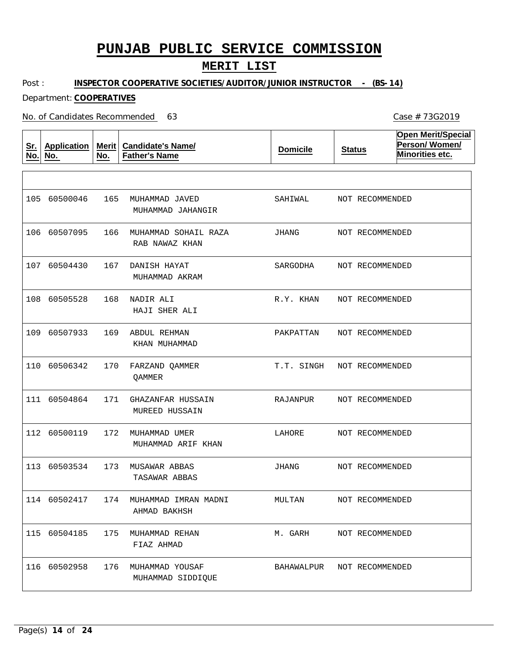### **MERIT LIST**

Post : **INSPECTOR COOPERATIVE SOCIETIES/AUDITOR/JUNIOR INSTRUCTOR - (BS-14)**

Department: **COOPERATIVES**

No. of Candidates Recommended

**Sr. No. Application No. Merit No. Candidate's Name/ Father's Name Domicile Status Open Merit/Special Person/ Women/ Minorities etc.** 165 MUHAMMAD JAVED 166 MUHAMMAD SOHAIL RAZA 167 DANISH HAYAT 168 NADIR ALI 169 ABDUL REHMAN 170 FARZAND QAMMER 171 GHAZANFAR HUSSAIN 172 MUHAMMAD UMER 173 MUSAWAR ABBAS 174 MUHAMMAD IMRAN MADNI 175 MUHAMMAD REHAN 176 MUHAMMAD YOUSAF MUHAMMAD JAHANGIR RAB NAWAZ KHAN MUHAMMAD AKRAM HAJI SHER ALI KHAN MUHAMMAD QAMMER MUREED HUSSAIN MUHAMMAD ARIF KHAN TASAWAR ABBAS AHMAD BAKHSH FIAZ AHMAD MUHAMMAD SIDDIQUE 105 60500046 106 60507095 107 60504430 108 60505528 109 60507933 110 60506342 111 60504864 112 60500119 113 60503534 114 60502417 115 60504185 116 60502958 SAHIWAL JHANG SARGODHA R.Y. KHAN PAKPATTAN T.T. SINGH RAJANPUR LAHORE JHANG MULTAN M. GARH BAHAWALPUR NOT RECOMMENDED NOT RECOMMENDED NOT RECOMMENDED NOT RECOMMENDED NOT RECOMMENDED NOT RECOMMENDED NOT RECOMMENDED NOT RECOMMENDED NOT RECOMMENDED NOT RECOMMENDED NOT RECOMMENDED NOT RECOMMENDED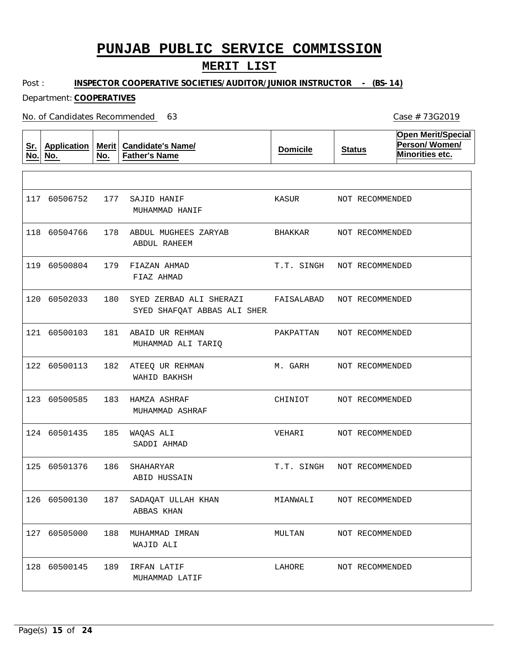### **MERIT LIST**

Post : **INSPECTOR COOPERATIVE SOCIETIES/AUDITOR/JUNIOR INSTRUCTOR - (BS-14)**

#### Department: **COOPERATIVES**

No. of Candidates Recommended

**Sr. No. Application No. Merit No. Candidate's Name/ Father's Name Domicile Status Open Merit/Special Person/ Women/ Minorities etc.** 177 SAJID HANIF 178 ABDUL MUGHEES ZARYAB 179 FIAZAN AHMAD 180 SYED ZERBAD ALI SHERAZI 181 ABAID UR REHMAN 182 ATEEQ UR REHMAN 183 HAMZA ASHRAF 185 WAQAS ALI 186 SHAHARYAR 187 SADAQAT ULLAH KHAN 188 MUHAMMAD IMRAN 127 60505000 189 IRFAN LATIF MUHAMMAD HANIF ABDUL RAHEEM FIAZ AHMAD SYED SHAFQAT ABBAS ALI SHER MUHAMMAD ALI TARIQ WAHID BAKHSH MUHAMMAD ASHRAF SADDI AHMAD ABID HUSSAIN ABBAS KHAN WAJID ALI MUHAMMAD LATIF 117 60506752 118 60504766 119 60500804 120 60502033 121 60500103 122 60500113 123 60500585 124 60501435 125 60501376 126 60500130 128 60500145 KASUR BHAKKAR T.T. SINGH FAISALABAD PAKPATTAN M. GARH CHINIOT VEHARI T.T. SINGH MIANWALI MULTAN LAHORE NOT RECOMMENDED NOT RECOMMENDED NOT RECOMMENDED NOT RECOMMENDED NOT RECOMMENDED NOT RECOMMENDED NOT RECOMMENDED NOT RECOMMENDED NOT RECOMMENDED NOT RECOMMENDED NOT RECOMMENDED NOT RECOMMENDED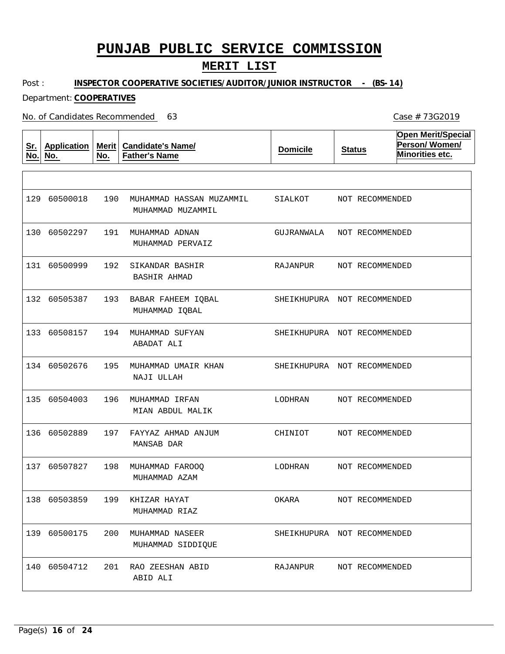### **MERIT LIST**

Post : **INSPECTOR COOPERATIVE SOCIETIES/AUDITOR/JUNIOR INSTRUCTOR - (BS-14)**

Department: **COOPERATIVES**

No. of Candidates Recommended

**Sr. No. Application No. Merit No. Candidate's Name/ Father's Name Domicile Status Open Merit/Special Person/ Women/ Minorities etc.** 190 MUHAMMAD HASSAN MUZAMMIL 191 MUHAMMAD ADNAN 192 193 194 MUHAMMAD SUFYAN 195 MUHAMMAD UMAIR KHAN 196 MUHAMMAD IRFAN 197 FAYYAZ AHMAD ANJUM 198 MUHAMMAD FAROOQ 199 KHIZAR HAYAT 200 MUHAMMAD NASEER 201 RAO ZEESHAN ABID SIKANDAR BASHIR BABAR FAHEEM IQBAL MUHAMMAD MUZAMMIL MUHAMMAD PERVAIZ BASHIR AHMAD MUHAMMAD IQBAL ABADAT ALI NAJI ULLAH MIAN ABDUL MALIK MANSAB DAR MUHAMMAD AZAM MUHAMMAD RIAZ MUHAMMAD SIDDIQUE ABID ALI 129 60500018 130 60502297 131 60500999 132 60505387 133 60508157 134 60502676 135 60504003 136 60502889 137 60507827 138 60503859 139 60500175 140 60504712 SIALKOT GUJRANWALA NOT RECOMMENDED RAJANPUR SHEIKHUPURA NOT RECOMMENDED SHEIKHUPURA NOT RECOMMENDED SHEIKHUPURA NOT RECOMMENDED LODHRAN CHINIOT LODHRAN OKARA SHEIKHUPURA NOT RECOMMENDED RAJANPUR NOT RECOMMENDED NOT RECOMMENDED NOT RECOMMENDED NOT RECOMMENDED NOT RECOMMENDED NOT RECOMMENDED NOT RECOMMENDED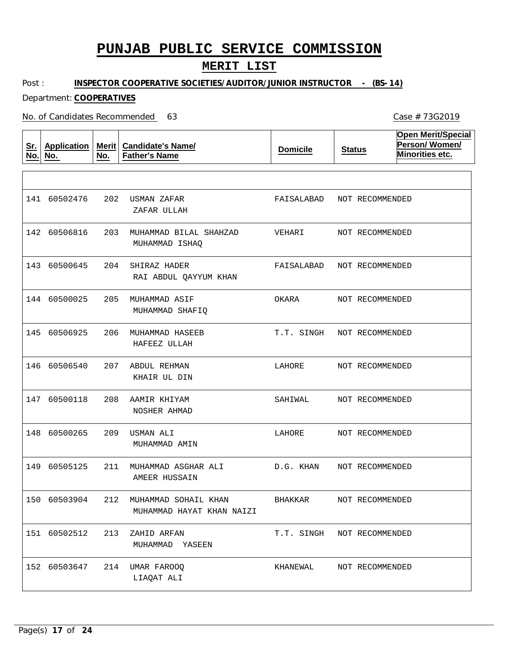### **MERIT LIST**

Post : **INSPECTOR COOPERATIVE SOCIETIES/AUDITOR/JUNIOR INSTRUCTOR - (BS-14)**

#### Department: **COOPERATIVES**

No. of Candidates Recommended

**Sr. No. Application No. Merit Candidate's Name/ No. Father's Name Domicile Status Open Merit/Special Person/ Women/ Minorities etc.** 202 USMAN ZAFAR 203 MUHAMMAD BILAL SHAHZAD 204 205 MUHAMMAD ASIF 206 MUHAMMAD HASEEB 207 ABDUL REHMAN 208 AAMIR KHIYAM 209 USMAN ALI 211 MUHAMMAD ASGHAR ALI 212 MUHAMMAD SOHAIL KHAN 213 ZAHID ARFAN 151 60502512 214 UMAR FAROOQ SHIRAZ HADER ZAFAR ULLAH MUHAMMAD ISHAQ RAI ABDUL QAYYUM KHAN MUHAMMAD SHAFIQ HAFEEZ ULLAH KHAIR UL DIN NOSHER AHMAD MUHAMMAD AMIN AMEER HUSSAIN MUHAMMAD HAYAT KHAN NAIZI MUHAMMAD YASEEN LIAQAT ALI 141 60502476 142 60506816 143 60500645 144 60500025 145 60506925 146 60506540 147 60500118 148 60500265 149 60505125 150 60503904 152 60503647 FAISALABAD NOT RECOMMENDED VEHARI FAISALABAD OKARA T.T. SINGH NOT RECOMMENDED LAHORE SAHIWAL LAHORE D.G. KHAN BHAKKAR T.T. SINGH NOT RECOMMENDED KHANEWAL NOT RECOMMENDED NOT RECOMMENDED NOT RECOMMENDED NOT RECOMMENDED NOT RECOMMENDED NOT RECOMMENDED NOT RECOMMENDED NOT RECOMMENDED NOT RECOMMENDED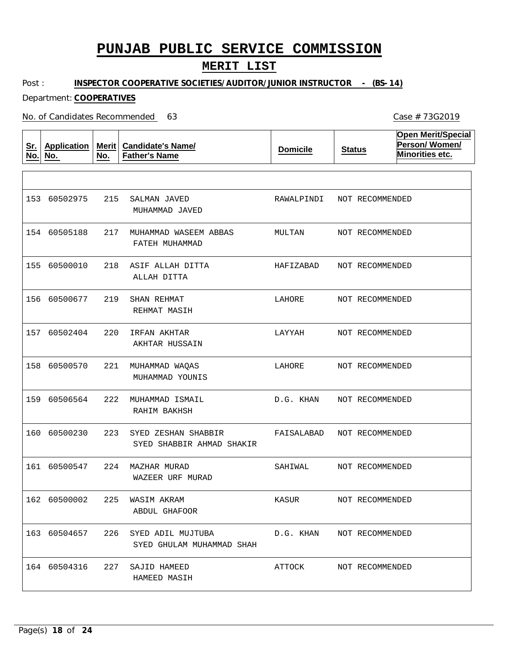### **MERIT LIST**

Post : **INSPECTOR COOPERATIVE SOCIETIES/AUDITOR/JUNIOR INSTRUCTOR - (BS-14)**

Department: **COOPERATIVES**

No. of Candidates Recommended

**Sr. No. Application No. Merit No. Candidate's Name/ Father's Name Domicile Status Open Merit/Special Person/ Women/ Minorities etc.** 215 SALMAN JAVED 217 MUHAMMAD WASEEM ABBAS 218 ASIF ALLAH DITTA 219 220 IRFAN AKHTAR 221 MUHAMMAD WAQAS 222 MUHAMMAD ISMAIL 223 SYED ZESHAN SHABBIR 224 MAZHAR MURAD 225 WASIM AKRAM 226 SYED ADIL MUJTUBA 227 SAJID HAMEED SHAN REHMAT MUHAMMAD JAVED FATEH MUHAMMAD ALLAH DITTA REHMAT MASIH AKHTAR HUSSAIN MUHAMMAD YOUNIS RAHIM BAKHSH SYED SHABBIR AHMAD SHAKIR WAZEER URF MURAD ABDUL GHAFOOR SYED GHULAM MUHAMMAD SHAH HAMEED MASIH 153 60502975 154 60505188 155 60500010 156 60500677 157 60502404 158 60500570 159 60506564 160 60500230 161 60500547 162 60500002 163 60504657 164 60504316 RAWALPINDI MULTAN HAFIZABAD LAHORE LAYYAH LAHORE D.G. KHAN FAISALABAD SAHIWAL KASUR D.G. KHAN ATTOCK NOT RECOMMENDED NOT RECOMMENDED NOT RECOMMENDED NOT RECOMMENDED NOT RECOMMENDED NOT RECOMMENDED NOT RECOMMENDED NOT RECOMMENDED NOT RECOMMENDED NOT RECOMMENDED NOT RECOMMENDED NOT RECOMMENDED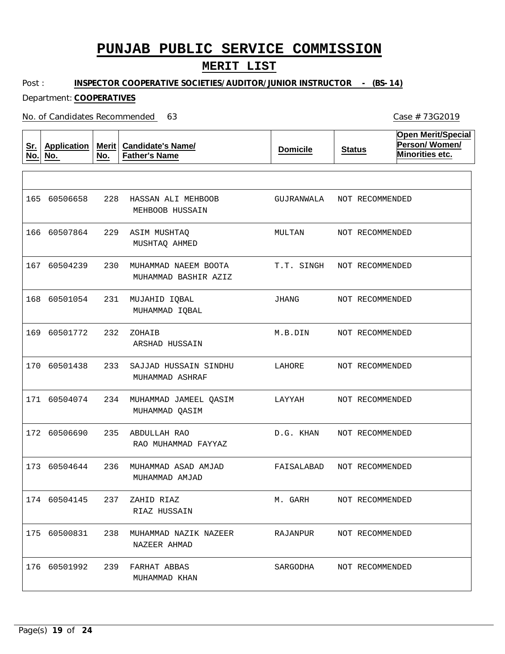### **MERIT LIST**

Post : **INSPECTOR COOPERATIVE SOCIETIES/AUDITOR/JUNIOR INSTRUCTOR - (BS-14)**

Department: **COOPERATIVES**

No. of Candidates Recommended

**Sr. No. Application No. Merit No. Candidate's Name/ Father's Name Domicile Status Open Merit/Special Person/ Women/ Minorities etc.** 228 HASSAN ALI MEHBOOB 229 ASIM MUSHTAQ 230 MUHAMMAD NAEEM BOOTA 231 MUJAHID IQBAL 232 233 234 MUHAMMAD JAMEEL QASIM 235 ABDULLAH RAO 236 MUHAMMAD ASAD AMJAD 237 ZAHID RIAZ 238 MUHAMMAD NAZIK NAZEER 239 FARHAT ABBAS ZOHAIB SAJJAD HUSSAIN SINDHU MEHBOOB HUSSAIN MUSHTAQ AHMED MUHAMMAD BASHIR AZIZ MUHAMMAD IQBAL ARSHAD HUSSAIN MUHAMMAD ASHRAF MUHAMMAD QASIM RAO MUHAMMAD FAYYAZ MUHAMMAD AMJAD RIAZ HUSSAIN NAZEER AHMAD MUHAMMAD KHAN 165 60506658 166 60507864 167 60504239 168 60501054 169 60501772 170 60501438 171 60504074 172 60506690 173 60504644 174 60504145 175 60500831 176 60501992 GUJRANWALA NOT RECOMMENDED MULTAN T.T. SINGH JHANG M.B.DIN LAHORE LAYYAH D.G. KHAN FAISALABAD M. GARH RAJANPUR SARGODHA NOT RECOMMENDED NOT RECOMMENDED NOT RECOMMENDED NOT RECOMMENDED NOT RECOMMENDED NOT RECOMMENDED NOT RECOMMENDED NOT RECOMMENDED NOT RECOMMENDED NOT RECOMMENDED NOT RECOMMENDED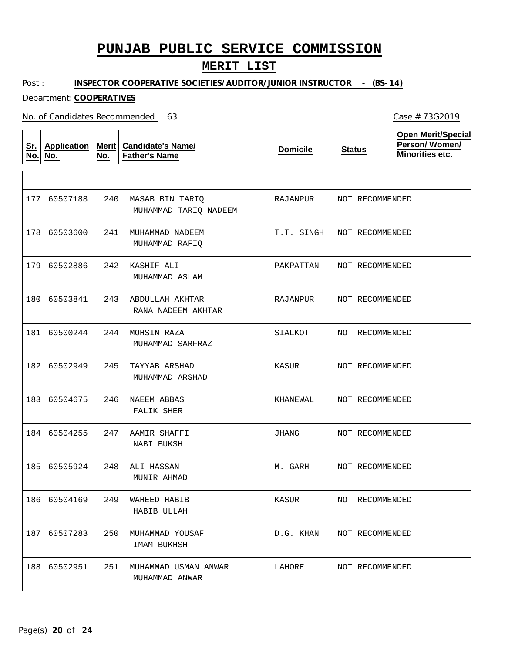### **MERIT LIST**

Post : **INSPECTOR COOPERATIVE SOCIETIES/AUDITOR/JUNIOR INSTRUCTOR - (BS-14)**

Department: **COOPERATIVES**

No. of Candidates Recommended

**Sr. No. Application No. Merit No. Candidate's Name/ Father's Name Domicile Status Open Merit/Special Person/ Women/ Minorities etc.** 240 MASAB BIN TARIQ 241 MUHAMMAD NADEEM 242 KASHIF ALI 243 ABDULLAH AKHTAR 244 MOHSIN RAZA 245 TAYYAB ARSHAD 246 NAEEM ABBAS 247 AAMIR SHAFFI 248 ALI HASSAN 249 WAHEED HABIB 250 MUHAMMAD YOUSAF 251 MUHAMMAD USMAN ANWAR MUHAMMAD TARIQ NADEEM MUHAMMAD RAFIQ MUHAMMAD ASLAM RANA NADEEM AKHTAR MUHAMMAD SARFRAZ MUHAMMAD ARSHAD FALIK SHER NABI BUKSH MUNIR AHMAD HABIB ULLAH IMAM BUKHSH MUHAMMAD ANWAR 177 60507188 178 60503600 179 60502886 180 60503841 181 60500244 182 60502949 183 60504675 184 60504255 185 60505924 186 60504169 187 60507283 188 60502951 RAJANPUR T.T. SINGH PAKPATTAN RAJANPUR SIALKOT KASUR KHANEWAL JHANG M. GARH KASUR D.G. KHAN LAHORE NOT RECOMMENDED NOT RECOMMENDED NOT RECOMMENDED NOT RECOMMENDED NOT RECOMMENDED NOT RECOMMENDED NOT RECOMMENDED NOT RECOMMENDED NOT RECOMMENDED NOT RECOMMENDED NOT RECOMMENDED NOT RECOMMENDED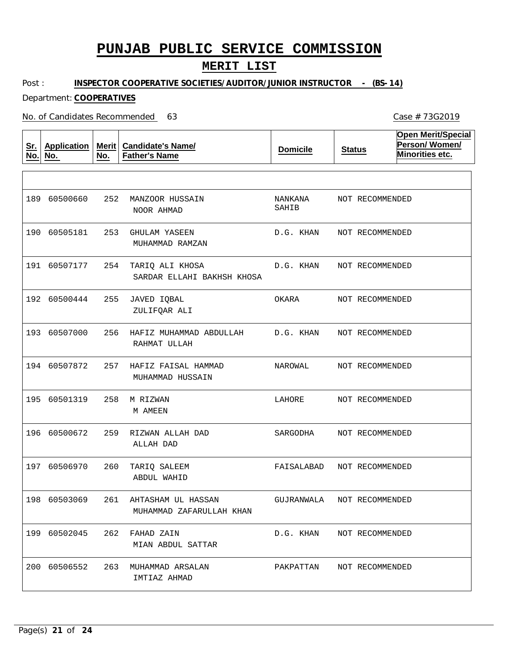### **MERIT LIST**

Post : **INSPECTOR COOPERATIVE SOCIETIES/AUDITOR/JUNIOR INSTRUCTOR - (BS-14)**

Department: **COOPERATIVES**

No. of Candidates Recommended

**Sr. No. Application No. Merit No. Candidate's Name/ Father's Name Domicile Status Open Merit/Special Person/ Women/ Minorities etc.** 252 MANZOOR HUSSAIN 253 GHULAM YASEEN 254 TARIQ ALI KHOSA 255 256 HAFIZ MUHAMMAD ABDULLAH 257 HAFIZ FAISAL HAMMAD 258 M RIZWAN 259 RIZWAN ALLAH DAD 260 TARIQ SALEEM 261 AHTASHAM UL HASSAN 262 FAHAD ZAIN 263 MUHAMMAD ARSALAN JAVED IQBAL NOOR AHMAD MUHAMMAD RAMZAN SARDAR ELLAHI BAKHSH KHOSA ZULIFQAR ALI RAHMAT ULLAH MUHAMMAD HUSSAIN M AMEEN ALLAH DAD ABDUL WAHID MUHAMMAD ZAFARULLAH KHAN MIAN ABDUL SATTAR IMTIAZ AHMAD 189 60500660 190 60505181 191 60507177 192 60500444 193 60507000 194 60507872 195 60501319 196 60500672 197 60506970 198 60503069 199 60502045 200 60506552 NANKANA SAHIB D.G. KHAN D.G. KHAN OKARA D.G. KHAN NAROWAL LAHORE SARGODHA FAISALABAD GUJRANWALA D.G. KHAN PAKPATTAN NOT RECOMMENDED NOT RECOMMENDED NOT RECOMMENDED NOT RECOMMENDED NOT RECOMMENDED NOT RECOMMENDED NOT RECOMMENDED NOT RECOMMENDED NOT RECOMMENDED NOT RECOMMENDED NOT RECOMMENDED NOT RECOMMENDED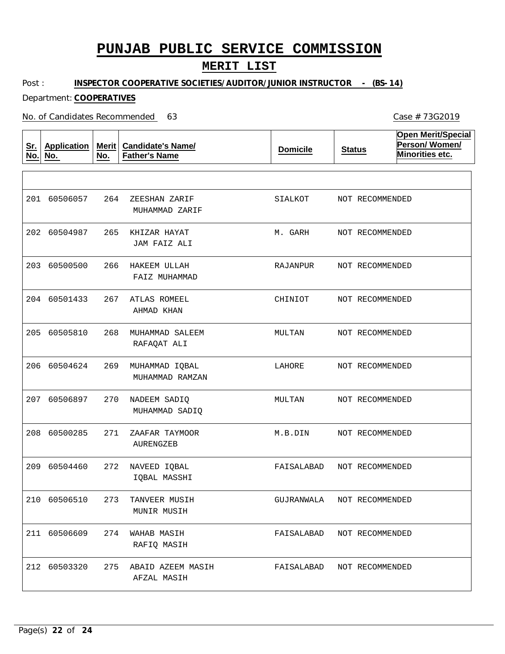### **MERIT LIST**

Post : **INSPECTOR COOPERATIVE SOCIETIES/AUDITOR/JUNIOR INSTRUCTOR - (BS-14)**

#### Department: **COOPERATIVES**

No. of Candidates Recommended

**Sr. No. Application No. Merit No. Candidate's Name/ Father's Name Domicile Status Open Merit/Special Person/ Women/ Minorities etc.** 264 265 KHIZAR HAYAT 266 HAKEEM ULLAH 267 ATLAS ROMEEL 268 MUHAMMAD SALEEM 269 MUHAMMAD IQBAL 270 NADEEM SADIQ 271 272 NAVEED IQBAL 273 TANVEER MUSIH 274 WAHAB MASIH 275 ABAID AZEEM MASIH ZEESHAN ZARIF ZAAFAR TAYMOOR MUHAMMAD ZARIF JAM FAIZ ALI FAIZ MUHAMMAD AHMAD KHAN RAFAQAT ALI MUHAMMAD RAMZAN MUHAMMAD SADIQ AURENGZEB IQBAL MASSHI MUNIR MUSIH RAFIQ MASIH AFZAL MASIH 201 60506057 202 60504987 203 60500500 204 60501433 205 60505810 206 60504624 207 60506897 208 60500285 209 60504460 210 60506510 211 60506609 212 60503320 SIALKOT M. GARH RAJANPUR CHINIOT MULTAN LAHORE MULTAN M.B.DIN FAISALABAD GUJRANWALA FAISALABAD NOT RECOMMENDED FAISALABAD NOT RECOMMENDED NOT RECOMMENDED NOT RECOMMENDED NOT RECOMMENDED NOT RECOMMENDED NOT RECOMMENDED NOT RECOMMENDED NOT RECOMMENDED NOT RECOMMENDED NOT RECOMMENDED NOT RECOMMENDED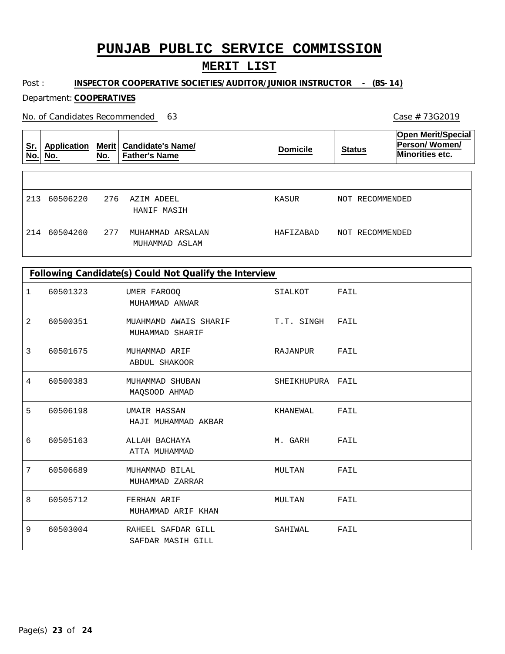## **MERIT LIST**

Post : **INSPECTOR COOPERATIVE SOCIETIES/AUDITOR/JUNIOR INSTRUCTOR - (BS-14)**

Department: **COOPERATIVES**

No. of Candidates Recommended

| <u>Sr.</u><br>No. | Application<br>No. | <b>Merit</b><br>No. | <b>Candidate's Name/</b><br><b>Father's Name</b> | <b>Domicile</b> | <b>Status</b>   | <b>Open Merit/Special</b><br>Person/Women/<br><b>Minorities etc.</b> |
|-------------------|--------------------|---------------------|--------------------------------------------------|-----------------|-----------------|----------------------------------------------------------------------|
| 213               | 60506220           | 276                 | AZIM ADEEL<br>HANIF MASIH                        | KASUR           | NOT RECOMMENDED |                                                                      |
| 214               | 60504260           | 277                 | MUHAMMAD ARSALAN<br>MUHAMMAD ASLAM               | HAFIZABAD       | NOT RECOMMENDED |                                                                      |

| Following Candidate(s) Could Not Qualify the Interview |          |                                          |                  |      |  |  |
|--------------------------------------------------------|----------|------------------------------------------|------------------|------|--|--|
| 1                                                      | 60501323 | UMER FAROOQ<br>MUHAMMAD ANWAR            | SIALKOT          | FAIL |  |  |
| 2                                                      | 60500351 | MUAHMAMD AWAIS SHARIF<br>MUHAMMAD SHARIF | T.T. SINGH       | FAIL |  |  |
| 3                                                      | 60501675 | MUHAMMAD ARIF<br>ABDUL SHAKOOR           | RAJANPUR         | FAIL |  |  |
| 4                                                      | 60500383 | MUHAMMAD SHUBAN<br>MAQSOOD AHMAD         | SHEIKHUPURA FAIL |      |  |  |
| 5                                                      | 60506198 | UMAIR HASSAN<br>HAJI MUHAMMAD AKBAR      | KHANEWAL         | FAIL |  |  |
| 6                                                      | 60505163 | ALLAH BACHAYA<br>ATTA MUHAMMAD           | M. GARH          | FAIL |  |  |
| 7                                                      | 60506689 | MUHAMMAD BILAL<br>MUHAMMAD ZARRAR        | MULTAN           | FAIL |  |  |
| 8                                                      | 60505712 | FERHAN ARIF<br>MUHAMMAD ARIF KHAN        | MULTAN           | FAIL |  |  |
| 9                                                      | 60503004 | RAHEEL SAFDAR GILL<br>SAFDAR MASIH GILL  | SAHIWAL          | FAIL |  |  |